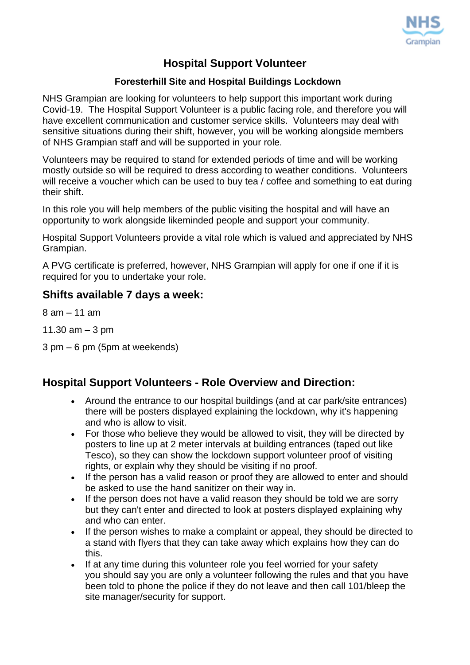

## **Hospital Support Volunteer**

## **Foresterhill Site and Hospital Buildings Lockdown**

NHS Grampian are looking for volunteers to help support this important work during Covid-19. The Hospital Support Volunteer is a public facing role, and therefore you will have excellent communication and customer service skills. Volunteers may deal with sensitive situations during their shift, however, you will be working alongside members of NHS Grampian staff and will be supported in your role.

Volunteers may be required to stand for extended periods of time and will be working mostly outside so will be required to dress according to weather conditions. Volunteers will receive a voucher which can be used to buy tea / coffee and something to eat during their shift.

In this role you will help members of the public visiting the hospital and will have an opportunity to work alongside likeminded people and support your community.

Hospital Support Volunteers provide a vital role which is valued and appreciated by NHS Grampian.

A PVG certificate is preferred, however, NHS Grampian will apply for one if one if it is required for you to undertake your role.

## **Shifts available 7 days a week:**

8 am – 11 am

11.30  $am - 3$  pm

3 pm – 6 pm (5pm at weekends)

## **Hospital Support Volunteers - Role Overview and Direction:**

- Around the entrance to our hospital buildings (and at car park/site entrances) there will be posters displayed explaining the lockdown, why it's happening and who is allow to visit.
- For those who believe they would be allowed to visit, they will be directed by posters to line up at 2 meter intervals at building entrances (taped out like Tesco), so they can show the lockdown support volunteer proof of visiting rights, or explain why they should be visiting if no proof.
- If the person has a valid reason or proof they are allowed to enter and should be asked to use the hand sanitizer on their way in.
- If the person does not have a valid reason they should be told we are sorry but they can't enter and directed to look at posters displayed explaining why and who can enter.
- If the person wishes to make a complaint or appeal, they should be directed to a stand with flyers that they can take away which explains how they can do this.
- If at any time during this volunteer role you feel worried for your safety you should say you are only a volunteer following the rules and that you have been told to phone the police if they do not leave and then call 101/bleep the site manager/security for support.